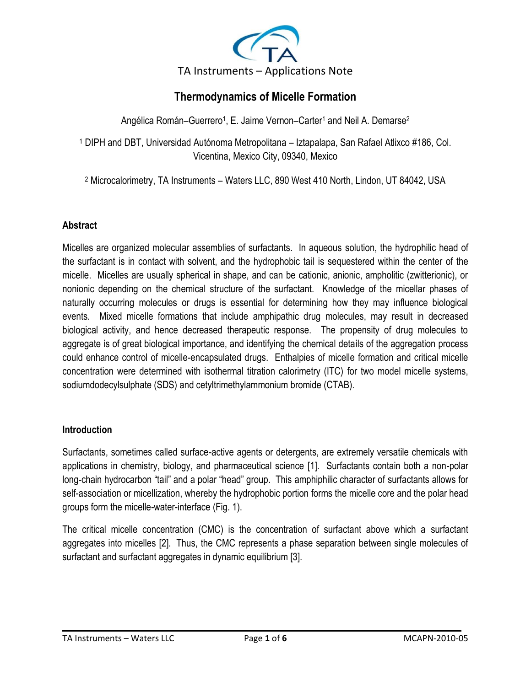

# **Thermodynamics of Micelle Formation**

Angélica Román–Guerrero<sup>1</sup>, E. Jaime Vernon–Carter<sup>1</sup> and Neil A. Demarse<sup>2</sup>

<sup>1</sup> DIPH and DBT, Universidad Autónoma Metropolitana – Iztapalapa, San Rafael Atlixco #186, Col. Vicentina, Mexico City, 09340, Mexico

<sup>2</sup> Microcalorimetry, TA Instruments – Waters LLC, 890 West 410 North, Lindon, UT 84042, USA

# **Abstract**

Micelles are organized molecular assemblies of surfactants. In aqueous solution, the hydrophilic head of the surfactant is in contact with solvent, and the hydrophobic tail is sequestered within the center of the micelle. Micelles are usually spherical in shape, and can be cationic, anionic, ampholitic (zwitterionic), or nonionic depending on the chemical structure of the surfactant. Knowledge of the micellar phases of naturally occurring molecules or drugs is essential for determining how they may influence biological events. Mixed micelle formations that include amphipathic drug molecules, may result in decreased biological activity, and hence decreased therapeutic response. The propensity of drug molecules to aggregate is of great biological importance, and identifying the chemical details of the aggregation process could enhance control of micelle-encapsulated drugs. Enthalpies of micelle formation and critical micelle concentration were determined with isothermal titration calorimetry (ITC) for two model micelle systems, sodiumdodecylsulphate (SDS) and cetyltrimethylammonium bromide (CTAB).

# **Introduction**

Surfactants, sometimes called surface-active agents or detergents, are extremely versatile chemicals with applications in chemistry, biology, and pharmaceutical science [1]. Surfactants contain both a non-polar long-chain hydrocarbon "tail" and a polar "head" group. This amphiphilic character of surfactants allows for self-association or micellization, whereby the hydrophobic portion forms the micelle core and the polar head groups form the micelle-water-interface (Fig. 1).

The critical micelle concentration (CMC) is the concentration of surfactant above which a surfactant aggregates into micelles [2]. Thus, the CMC represents a phase separation between single molecules of surfactant and surfactant aggregates in dynamic equilibrium [3].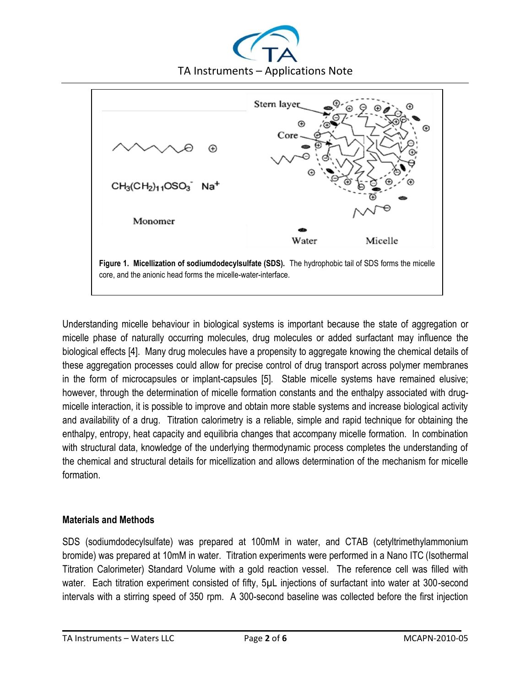



Understanding micelle behaviour in biological systems is important because the state of aggregation or micelle phase of naturally occurring molecules, drug molecules or added surfactant may influence the biological effects [4]. Many drug molecules have a propensity to aggregate knowing the chemical details of these aggregation processes could allow for precise control of drug transport across polymer membranes in the form of microcapsules or implant-capsules [5]. Stable micelle systems have remained elusive; however, through the determination of micelle formation constants and the enthalpy associated with drugmicelle interaction, it is possible to improve and obtain more stable systems and increase biological activity and availability of a drug. Titration calorimetry is a reliable, simple and rapid technique for obtaining the enthalpy, entropy, heat capacity and equilibria changes that accompany micelle formation. In combination with structural data, knowledge of the underlying thermodynamic process completes the understanding of the chemical and structural details for micellization and allows determination of the mechanism for micelle formation.

# **Materials and Methods**

SDS (sodiumdodecylsulfate) was prepared at 100mM in water, and CTAB (cetyltrimethylammonium bromide) was prepared at 10mM in water. Titration experiments were performed in a Nano ITC (Isothermal Titration Calorimeter) Standard Volume with a gold reaction vessel. The reference cell was filled with water. Each titration experiment consisted of fifty, 5µL injections of surfactant into water at 300-second intervals with a stirring speed of 350 rpm. A 300-second baseline was collected before the first injection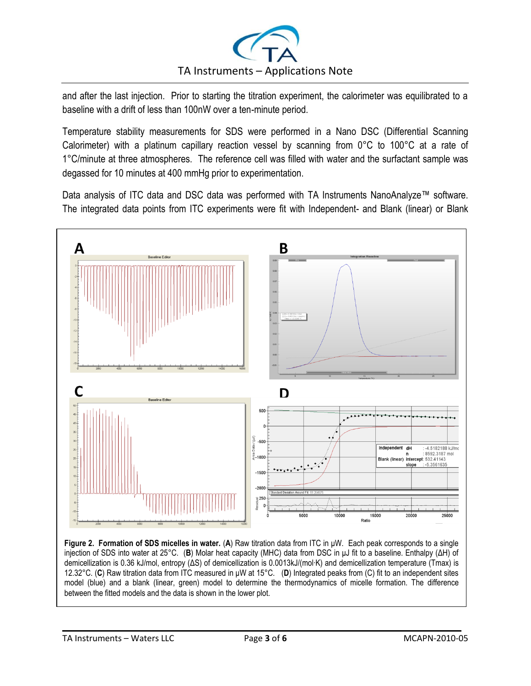

and after the last injection. Prior to starting the titration experiment, the calorimeter was equilibrated to a baseline with a drift of less than 100nW over a ten-minute period.

Temperature stability measurements for SDS were performed in a Nano DSC (Differential Scanning Calorimeter) with a platinum capillary reaction vessel by scanning from 0°C to 100°C at a rate of 1°C/minute at three atmospheres. The reference cell was filled with water and the surfactant sample was degassed for 10 minutes at 400 mmHg prior to experimentation.

Data analysis of ITC data and DSC data was performed with TA Instruments NanoAnalyze™ software. The integrated data points from ITC experiments were fit with Independent- and Blank (linear) or Blank



injection of SDS into water at 25°C. (**B**) Molar heat capacity (MHC) data from DSC in μJ fit to a baseline. Enthalpy (ΔH) of demicellization is 0.36 kJ/mol, entropy (ΔS) of demicellization is 0.0013kJ/(mol∙K) and demicellization temperature (Tmax) is 12.32°C. (**C**) Raw titration data from ITC measured in μW at 15°C. (**D**) Integrated peaks from (C) fit to an independent sites model (blue) and a blank (linear, green) model to determine the thermodynamics of micelle formation. The difference between the fitted models and the data is shown in the lower plot.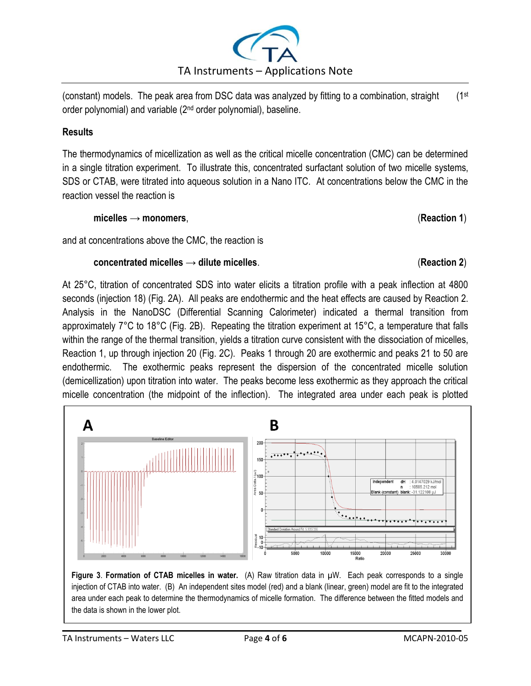

(constant) models. The peak area from DSC data was analyzed by fitting to a combination, straight (1st order polynomial) and variable (2<sup>nd</sup> order polynomial), baseline.

# **Results**

The thermodynamics of micellization as well as the critical micelle concentration (CMC) can be determined in a single titration experiment. To illustrate this, concentrated surfactant solution of two micelle systems, SDS or CTAB, were titrated into aqueous solution in a Nano ITC. At concentrations below the CMC in the reaction vessel the reaction is

**micelles → monomers**, (**Reaction 1**)

and at concentrations above the CMC, the reaction is

# **concentrated micelles → dilute micelles**. (**Reaction 2**)

At 25°C, titration of concentrated SDS into water elicits a titration profile with a peak inflection at 4800 seconds (injection 18) (Fig. 2A). All peaks are endothermic and the heat effects are caused by Reaction 2. Analysis in the NanoDSC (Differential Scanning Calorimeter) indicated a thermal transition from approximately 7°C to 18°C (Fig. 2B). Repeating the titration experiment at 15°C, a temperature that falls within the range of the thermal transition, yields a titration curve consistent with the dissociation of micelles, Reaction 1, up through injection 20 (Fig. 2C). Peaks 1 through 20 are exothermic and peaks 21 to 50 are endothermic. The exothermic peaks represent the dispersion of the concentrated micelle solution (demicellization) upon titration into water. The peaks become less exothermic as they approach the critical micelle concentration (the midpoint of the inflection). The integrated area under each peak is plotted



**Figure 3**. **Formation of CTAB micelles in water.** (A) Raw titration data in µW. Each peak corresponds to a single injection of CTAB into water. (B) An independent sites model (red) and a blank (linear, green) model are fit to the integrated area under each peak to determine the thermodynamics of micelle formation. The difference between the fitted models and the data is shown in the lower plot.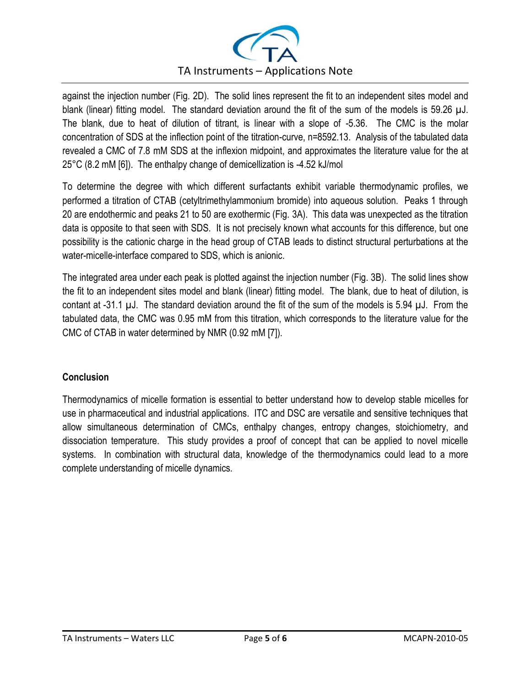

against the injection number (Fig. 2D). The solid lines represent the fit to an independent sites model and blank (linear) fitting model. The standard deviation around the fit of the sum of the models is 59.26 µJ. The blank, due to heat of dilution of titrant, is linear with a slope of -5.36. The CMC is the molar concentration of SDS at the inflection point of the titration-curve, n=8592.13. Analysis of the tabulated data revealed a CMC of 7.8 mM SDS at the inflexion midpoint, and approximates the literature value for the at 25°C (8.2 mM [6]). The enthalpy change of demicellization is -4.52 kJ/mol

To determine the degree with which different surfactants exhibit variable thermodynamic profiles, we performed a titration of CTAB (cetyltrimethylammonium bromide) into aqueous solution. Peaks 1 through 20 are endothermic and peaks 21 to 50 are exothermic (Fig. 3A). This data was unexpected as the titration data is opposite to that seen with SDS. It is not precisely known what accounts for this difference, but one possibility is the cationic charge in the head group of CTAB leads to distinct structural perturbations at the water-micelle-interface compared to SDS, which is anionic.

The integrated area under each peak is plotted against the injection number (Fig. 3B). The solid lines show the fit to an independent sites model and blank (linear) fitting model. The blank, due to heat of dilution, is contant at -31.1 µJ. The standard deviation around the fit of the sum of the models is 5.94 µJ. From the tabulated data, the CMC was 0.95 mM from this titration, which corresponds to the literature value for the CMC of CTAB in water determined by NMR (0.92 mM [7]).

# **Conclusion**

Thermodynamics of micelle formation is essential to better understand how to develop stable micelles for use in pharmaceutical and industrial applications. ITC and DSC are versatile and sensitive techniques that allow simultaneous determination of CMCs, enthalpy changes, entropy changes, stoichiometry, and dissociation temperature. This study provides a proof of concept that can be applied to novel micelle systems. In combination with structural data, knowledge of the thermodynamics could lead to a more complete understanding of micelle dynamics.